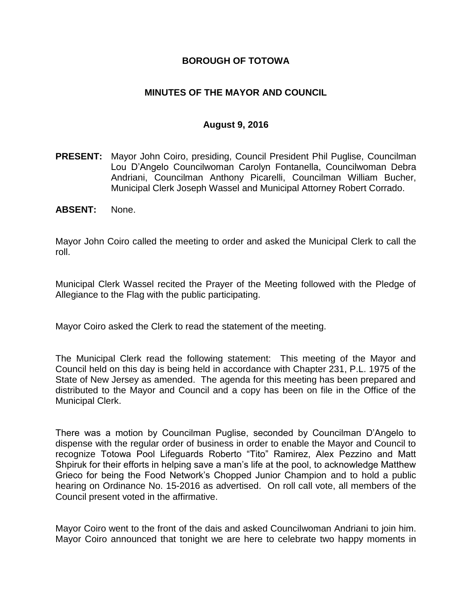### **BOROUGH OF TOTOWA**

### **MINUTES OF THE MAYOR AND COUNCIL**

#### **August 9, 2016**

- **PRESENT:** Mayor John Coiro, presiding, Council President Phil Puglise, Councilman Lou D'Angelo Councilwoman Carolyn Fontanella, Councilwoman Debra Andriani, Councilman Anthony Picarelli, Councilman William Bucher, Municipal Clerk Joseph Wassel and Municipal Attorney Robert Corrado.
- **ABSENT:** None.

Mayor John Coiro called the meeting to order and asked the Municipal Clerk to call the roll.

Municipal Clerk Wassel recited the Prayer of the Meeting followed with the Pledge of Allegiance to the Flag with the public participating.

Mayor Coiro asked the Clerk to read the statement of the meeting.

The Municipal Clerk read the following statement: This meeting of the Mayor and Council held on this day is being held in accordance with Chapter 231, P.L. 1975 of the State of New Jersey as amended. The agenda for this meeting has been prepared and distributed to the Mayor and Council and a copy has been on file in the Office of the Municipal Clerk.

There was a motion by Councilman Puglise, seconded by Councilman D'Angelo to dispense with the regular order of business in order to enable the Mayor and Council to recognize Totowa Pool Lifeguards Roberto "Tito" Ramirez, Alex Pezzino and Matt Shpiruk for their efforts in helping save a man's life at the pool, to acknowledge Matthew Grieco for being the Food Network's Chopped Junior Champion and to hold a public hearing on Ordinance No. 15-2016 as advertised. On roll call vote, all members of the Council present voted in the affirmative.

Mayor Coiro went to the front of the dais and asked Councilwoman Andriani to join him. Mayor Coiro announced that tonight we are here to celebrate two happy moments in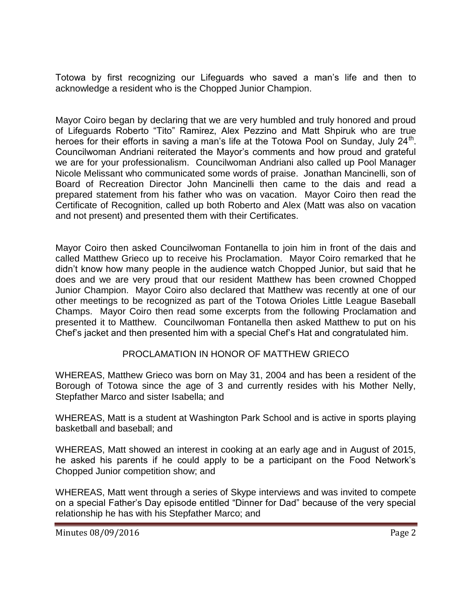Totowa by first recognizing our Lifeguards who saved a man's life and then to acknowledge a resident who is the Chopped Junior Champion.

Mayor Coiro began by declaring that we are very humbled and truly honored and proud of Lifeguards Roberto "Tito" Ramirez, Alex Pezzino and Matt Shpiruk who are true heroes for their efforts in saving a man's life at the Totowa Pool on Sunday, July 24<sup>th</sup>. Councilwoman Andriani reiterated the Mayor's comments and how proud and grateful we are for your professionalism. Councilwoman Andriani also called up Pool Manager Nicole Melissant who communicated some words of praise. Jonathan Mancinelli, son of Board of Recreation Director John Mancinelli then came to the dais and read a prepared statement from his father who was on vacation. Mayor Coiro then read the Certificate of Recognition, called up both Roberto and Alex (Matt was also on vacation and not present) and presented them with their Certificates.

Mayor Coiro then asked Councilwoman Fontanella to join him in front of the dais and called Matthew Grieco up to receive his Proclamation. Mayor Coiro remarked that he didn't know how many people in the audience watch Chopped Junior, but said that he does and we are very proud that our resident Matthew has been crowned Chopped Junior Champion. Mayor Coiro also declared that Matthew was recently at one of our other meetings to be recognized as part of the Totowa Orioles Little League Baseball Champs. Mayor Coiro then read some excerpts from the following Proclamation and presented it to Matthew. Councilwoman Fontanella then asked Matthew to put on his Chef's jacket and then presented him with a special Chef's Hat and congratulated him.

## PROCLAMATION IN HONOR OF MATTHEW GRIECO

WHEREAS, Matthew Grieco was born on May 31, 2004 and has been a resident of the Borough of Totowa since the age of 3 and currently resides with his Mother Nelly, Stepfather Marco and sister Isabella; and

WHEREAS, Matt is a student at Washington Park School and is active in sports playing basketball and baseball; and

WHEREAS, Matt showed an interest in cooking at an early age and in August of 2015, he asked his parents if he could apply to be a participant on the Food Network's Chopped Junior competition show; and

WHEREAS, Matt went through a series of Skype interviews and was invited to compete on a special Father's Day episode entitled "Dinner for Dad" because of the very special relationship he has with his Stepfather Marco; and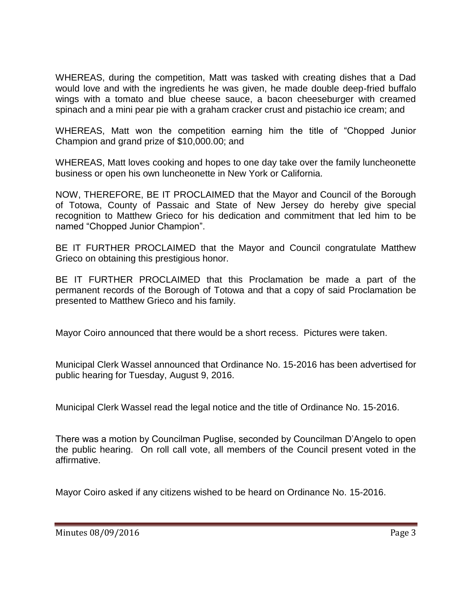WHEREAS, during the competition, Matt was tasked with creating dishes that a Dad would love and with the ingredients he was given, he made double deep-fried buffalo wings with a tomato and blue cheese sauce, a bacon cheeseburger with creamed spinach and a mini pear pie with a graham cracker crust and pistachio ice cream; and

WHEREAS, Matt won the competition earning him the title of "Chopped Junior Champion and grand prize of \$10,000.00; and

WHEREAS, Matt loves cooking and hopes to one day take over the family luncheonette business or open his own luncheonette in New York or California.

NOW, THEREFORE, BE IT PROCLAIMED that the Mayor and Council of the Borough of Totowa, County of Passaic and State of New Jersey do hereby give special recognition to Matthew Grieco for his dedication and commitment that led him to be named "Chopped Junior Champion".

BE IT FURTHER PROCLAIMED that the Mayor and Council congratulate Matthew Grieco on obtaining this prestigious honor.

BE IT FURTHER PROCLAIMED that this Proclamation be made a part of the permanent records of the Borough of Totowa and that a copy of said Proclamation be presented to Matthew Grieco and his family.

Mayor Coiro announced that there would be a short recess. Pictures were taken.

Municipal Clerk Wassel announced that Ordinance No. 15-2016 has been advertised for public hearing for Tuesday, August 9, 2016.

Municipal Clerk Wassel read the legal notice and the title of Ordinance No. 15-2016.

There was a motion by Councilman Puglise, seconded by Councilman D'Angelo to open the public hearing. On roll call vote, all members of the Council present voted in the affirmative.

Mayor Coiro asked if any citizens wished to be heard on Ordinance No. 15-2016.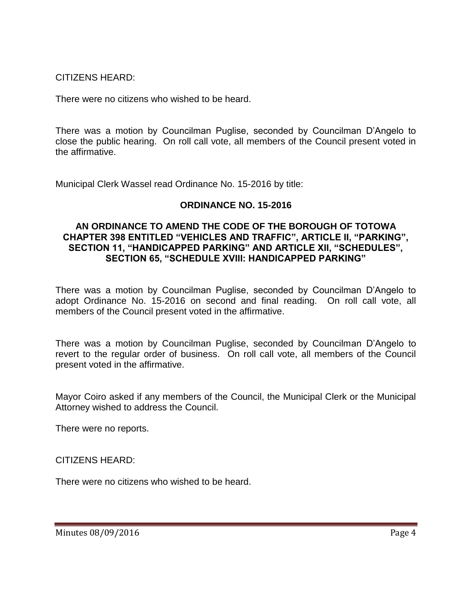CITIZENS HEARD:

There were no citizens who wished to be heard.

There was a motion by Councilman Puglise, seconded by Councilman D'Angelo to close the public hearing. On roll call vote, all members of the Council present voted in the affirmative.

Municipal Clerk Wassel read Ordinance No. 15-2016 by title:

# **ORDINANCE NO. 15-2016**

#### **AN ORDINANCE TO AMEND THE CODE OF THE BOROUGH OF TOTOWA CHAPTER 398 ENTITLED "VEHICLES AND TRAFFIC", ARTICLE II, "PARKING", SECTION 11, "HANDICAPPED PARKING" AND ARTICLE XII, "SCHEDULES", SECTION 65, "SCHEDULE XVIII: HANDICAPPED PARKING"**

There was a motion by Councilman Puglise, seconded by Councilman D'Angelo to adopt Ordinance No. 15-2016 on second and final reading. On roll call vote, all members of the Council present voted in the affirmative.

There was a motion by Councilman Puglise, seconded by Councilman D'Angelo to revert to the regular order of business. On roll call vote, all members of the Council present voted in the affirmative.

Mayor Coiro asked if any members of the Council, the Municipal Clerk or the Municipal Attorney wished to address the Council.

There were no reports.

CITIZENS HEARD:

There were no citizens who wished to be heard.

Minutes 08/09/2016 **Page 4**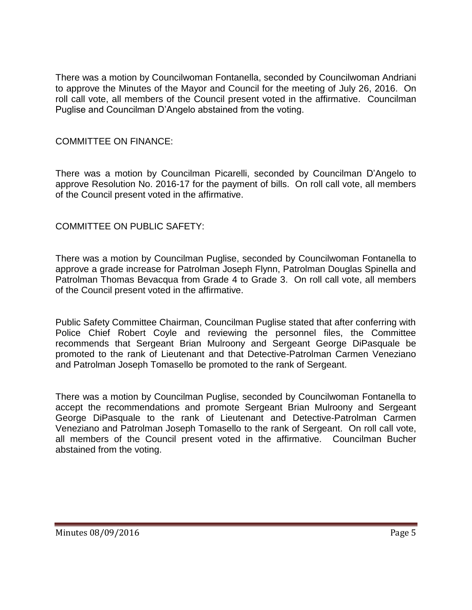There was a motion by Councilwoman Fontanella, seconded by Councilwoman Andriani to approve the Minutes of the Mayor and Council for the meeting of July 26, 2016. On roll call vote, all members of the Council present voted in the affirmative. Councilman Puglise and Councilman D'Angelo abstained from the voting.

### COMMITTEE ON FINANCE:

There was a motion by Councilman Picarelli, seconded by Councilman D'Angelo to approve Resolution No. 2016-17 for the payment of bills. On roll call vote, all members of the Council present voted in the affirmative.

### COMMITTEE ON PUBLIC SAFETY:

There was a motion by Councilman Puglise, seconded by Councilwoman Fontanella to approve a grade increase for Patrolman Joseph Flynn, Patrolman Douglas Spinella and Patrolman Thomas Bevacqua from Grade 4 to Grade 3. On roll call vote, all members of the Council present voted in the affirmative.

Public Safety Committee Chairman, Councilman Puglise stated that after conferring with Police Chief Robert Coyle and reviewing the personnel files, the Committee recommends that Sergeant Brian Mulroony and Sergeant George DiPasquale be promoted to the rank of Lieutenant and that Detective-Patrolman Carmen Veneziano and Patrolman Joseph Tomasello be promoted to the rank of Sergeant.

There was a motion by Councilman Puglise, seconded by Councilwoman Fontanella to accept the recommendations and promote Sergeant Brian Mulroony and Sergeant George DiPasquale to the rank of Lieutenant and Detective-Patrolman Carmen Veneziano and Patrolman Joseph Tomasello to the rank of Sergeant. On roll call vote, all members of the Council present voted in the affirmative. Councilman Bucher abstained from the voting.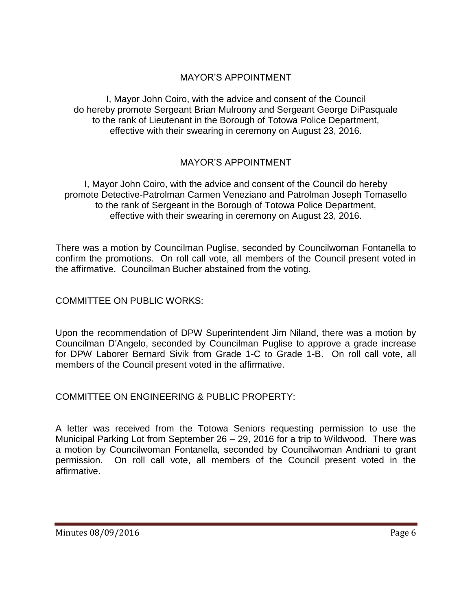# MAYOR'S APPOINTMENT

I, Mayor John Coiro, with the advice and consent of the Council do hereby promote Sergeant Brian Mulroony and Sergeant George DiPasquale to the rank of Lieutenant in the Borough of Totowa Police Department, effective with their swearing in ceremony on August 23, 2016.

# MAYOR'S APPOINTMENT

I, Mayor John Coiro, with the advice and consent of the Council do hereby promote Detective-Patrolman Carmen Veneziano and Patrolman Joseph Tomasello to the rank of Sergeant in the Borough of Totowa Police Department, effective with their swearing in ceremony on August 23, 2016.

There was a motion by Councilman Puglise, seconded by Councilwoman Fontanella to confirm the promotions. On roll call vote, all members of the Council present voted in the affirmative. Councilman Bucher abstained from the voting.

COMMITTEE ON PUBLIC WORKS:

Upon the recommendation of DPW Superintendent Jim Niland, there was a motion by Councilman D'Angelo, seconded by Councilman Puglise to approve a grade increase for DPW Laborer Bernard Sivik from Grade 1-C to Grade 1-B. On roll call vote, all members of the Council present voted in the affirmative.

COMMITTEE ON ENGINEERING & PUBLIC PROPERTY:

A letter was received from the Totowa Seniors requesting permission to use the Municipal Parking Lot from September 26 – 29, 2016 for a trip to Wildwood. There was a motion by Councilwoman Fontanella, seconded by Councilwoman Andriani to grant permission. On roll call vote, all members of the Council present voted in the affirmative.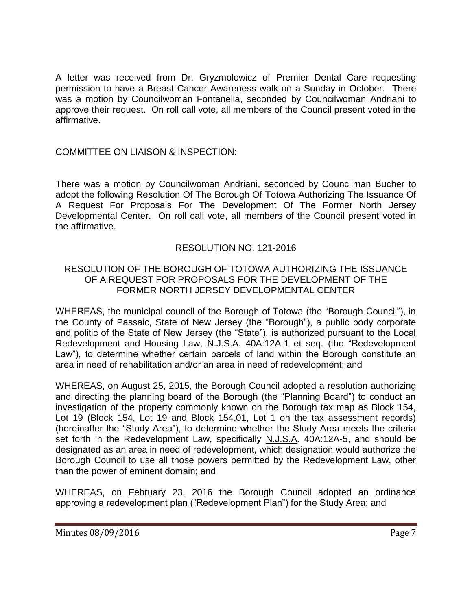A letter was received from Dr. Gryzmolowicz of Premier Dental Care requesting permission to have a Breast Cancer Awareness walk on a Sunday in October. There was a motion by Councilwoman Fontanella, seconded by Councilwoman Andriani to approve their request. On roll call vote, all members of the Council present voted in the affirmative.

## COMMITTEE ON LIAISON & INSPECTION:

There was a motion by Councilwoman Andriani, seconded by Councilman Bucher to adopt the following Resolution Of The Borough Of Totowa Authorizing The Issuance Of A Request For Proposals For The Development Of The Former North Jersey Developmental Center. On roll call vote, all members of the Council present voted in the affirmative.

# RESOLUTION NO. 121-2016

## RESOLUTION OF THE BOROUGH OF TOTOWA AUTHORIZING THE ISSUANCE OF A REQUEST FOR PROPOSALS FOR THE DEVELOPMENT OF THE FORMER NORTH JERSEY DEVELOPMENTAL CENTER

WHEREAS, the municipal council of the Borough of Totowa (the "Borough Council"), in the County of Passaic, State of New Jersey (the "Borough"), a public body corporate and politic of the State of New Jersey (the "State"), is authorized pursuant to the Local Redevelopment and Housing Law, N.J.S.A. 40A:12A-1 et seq. (the "Redevelopment Law"), to determine whether certain parcels of land within the Borough constitute an area in need of rehabilitation and/or an area in need of redevelopment; and

WHEREAS, on August 25, 2015, the Borough Council adopted a resolution authorizing and directing the planning board of the Borough (the "Planning Board") to conduct an investigation of the property commonly known on the Borough tax map as Block 154, Lot 19 (Block 154, Lot 19 and Block 154.01, Lot 1 on the tax assessment records) (hereinafter the "Study Area"), to determine whether the Study Area meets the criteria set forth in the Redevelopment Law, specifically N.J.S.A*.* 40A:12A-5, and should be designated as an area in need of redevelopment, which designation would authorize the Borough Council to use all those powers permitted by the Redevelopment Law, other than the power of eminent domain; and

WHEREAS, on February 23, 2016 the Borough Council adopted an ordinance approving a redevelopment plan ("Redevelopment Plan") for the Study Area; and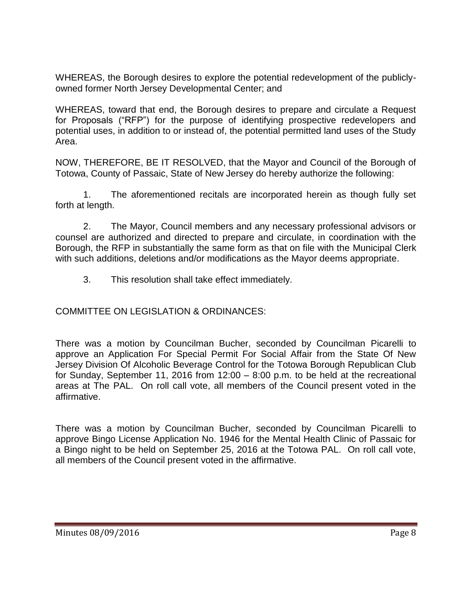WHEREAS, the Borough desires to explore the potential redevelopment of the publiclyowned former North Jersey Developmental Center; and

WHEREAS, toward that end, the Borough desires to prepare and circulate a Request for Proposals ("RFP") for the purpose of identifying prospective redevelopers and potential uses, in addition to or instead of, the potential permitted land uses of the Study Area.

NOW, THEREFORE, BE IT RESOLVED, that the Mayor and Council of the Borough of Totowa, County of Passaic, State of New Jersey do hereby authorize the following:

1. The aforementioned recitals are incorporated herein as though fully set forth at length.

2. The Mayor, Council members and any necessary professional advisors or counsel are authorized and directed to prepare and circulate, in coordination with the Borough, the RFP in substantially the same form as that on file with the Municipal Clerk with such additions, deletions and/or modifications as the Mayor deems appropriate.

3. This resolution shall take effect immediately.

COMMITTEE ON LEGISLATION & ORDINANCES:

There was a motion by Councilman Bucher, seconded by Councilman Picarelli to approve an Application For Special Permit For Social Affair from the State Of New Jersey Division Of Alcoholic Beverage Control for the Totowa Borough Republican Club for Sunday, September 11, 2016 from 12:00 – 8:00 p.m. to be held at the recreational areas at The PAL. On roll call vote, all members of the Council present voted in the affirmative.

There was a motion by Councilman Bucher, seconded by Councilman Picarelli to approve Bingo License Application No. 1946 for the Mental Health Clinic of Passaic for a Bingo night to be held on September 25, 2016 at the Totowa PAL. On roll call vote, all members of the Council present voted in the affirmative.